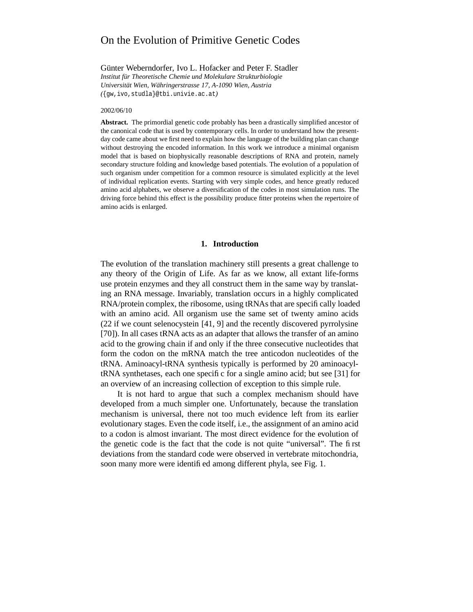# On the Evolution of Primitive Genetic Codes

Günter Weberndorfer, Ivo L. Hofacker and Peter F. Stadler

*Institut für Theoretische Chemie und Molekulare Strukturbiologie Universität Wien, Währingerstrasse 17, A-1090 Wien, Austria (*{gw,ivo,studla}@tbi.univie.ac.at*)*

#### 2002/06/10

**Abstract.** The primordial genetic code probably has been a drastically simplified ancestor of the canonical code that is used by contemporary cells. In order to understand how the presentday code came about we first need to explain how the language of the building plan can change without destroying the encoded information. In this work we introduce a minimal organism model that is based on biophysically reasonable descriptions of RNA and protein, namely secondary structure folding and knowledge based potentials. The evolution of a population of such organism under competition for a common resource is simulated explicitly at the level of individual replication events. Starting with very simple codes, and hence greatly reduced amino acid alphabets, we observe a diversification of the codes in most simulation runs. The driving force behind this effect is the possibility produce fitter proteins when the repertoire of amino acids is enlarged.

#### **1. Introduction**

The evolution of the translation machinery still presents a great challenge to any theory of the Origin of Life. As far as we know, all extant life-forms use protein enzymes and they all construct them in the same way by translating an RNA message. Invariably, translation occurs in a highly complicated RNA/protein complex, the ribosome, using tRNAs that are specifically loaded with an amino acid. All organism use the same set of twenty amino acids (22 if we count selenocystein [41, 9] and the recently discovered pyrrolysine [70]). In all cases tRNA acts as an adapter that allows the transfer of an amino acid to the growing chain if and only if the three consecutive nucleotides that form the codon on the mRNA match the tree anticodon nucleotides of the tRNA. Aminoacyl-tRNA synthesis typically is performed by 20 aminoacyltRNA synthetases, each one specific for a single amino acid; but see [31] for an overview of an increasing collection of exception to this simple rule.

It is not hard to argue that such a complex mechanism should have developed from a much simpler one. Unfortunately, because the translation mechanism is universal, there not too much evidence left from its earlier evolutionary stages. Even the code itself, i.e., the assignment of an amino acid to a codon is almost invariant. The most direct evidence for the evolution of the genetic code is the fact that the code is not quite "universal". The first deviations from the standard code were observed in vertebrate mitochondria, soon many more were identified among different phyla, see Fig. 1.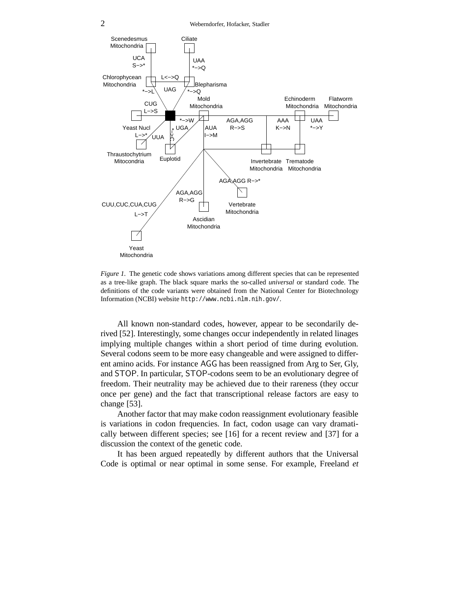

*Figure 1.* The genetic code shows variations among different species that can be represented as a tree-like graph. The black square marks the so-called *universal* or standard code. The definitions of the code variants were obtained from the National Center for Biotechnology Information (NCBI) website http://www.ncbi.nlm.nih.gov/.

All known non-standard codes, however, appear to be secondarily derived [52]. Interestingly, some changes occur independently in related linages implying multiple changes within a short period of time during evolution. Several codons seem to be more easy changeable and were assigned to different amino acids. For instance AGG has been reassigned from Arg to Ser, Gly, and STOP. In particular, STOP-codons seem to be an evolutionary degree of freedom. Their neutrality may be achieved due to their rareness (they occur once per gene) and the fact that transcriptional release factors are easy to change [53].

Another factor that may make codon reassignment evolutionary feasible is variations in codon frequencies. In fact, codon usage can vary dramatically between different species; see [16] for a recent review and [37] for a discussion the context of the genetic code.

It has been argued repeatedly by different authors that the Universal Code is optimal or near optimal in some sense. For example, Freeland *et*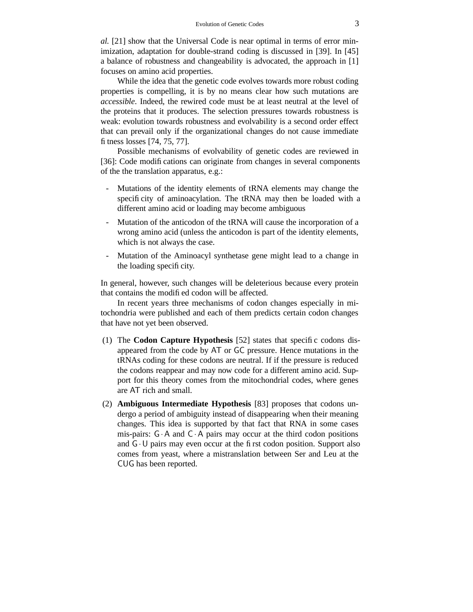*al.* [21] show that the Universal Code is near optimal in terms of error minimization, adaptation for double-strand coding is discussed in [39]. In [45] a balance of robustness and changeability is advocated, the approach in [1] focuses on amino acid properties.

While the idea that the genetic code evolves towards more robust coding properties is compelling, it is by no means clear how such mutations are *accessible*. Indeed, the rewired code must be at least neutral at the level of the proteins that it produces. The selection pressures towards robustness is weak: evolution towards robustness and evolvability is a second order effect that can prevail only if the organizational changes do not cause immediate fitness losses [74, 75, 77].

Possible mechanisms of evolvability of genetic codes are reviewed in [36]: Code modifications can originate from changes in several components of the the translation apparatus, e.g.:

- Mutations of the identity elements of tRNA elements may change the specificity of aminoacylation. The tRNA may then be loaded with a different amino acid or loading may become ambiguous
- Mutation of the anticodon of the tRNA will cause the incorporation of a wrong amino acid (unless the anticodon is part of the identity elements, which is not always the case.
- Mutation of the Aminoacyl synthetase gene might lead to a change in the loading specificity.

In general, however, such changes will be deleterious because every protein that contains the modified codon will be affected.

In recent years three mechanisms of codon changes especially in mitochondria were published and each of them predicts certain codon changes that have not yet been observed.

- (1) The **Codon Capture Hypothesis** [52] states that specific codons disappeared from the code by AT or GC pressure. Hence mutations in the tRNAs coding for these codons are neutral. If if the pressure is reduced the codons reappear and may now code for a different amino acid. Support for this theory comes from the mitochondrial codes, where genes are AT rich and small.
- (2) **Ambiguous Intermediate Hypothesis** [83] proposes that codons undergo a period of ambiguity instead of disappearing when their meaning changes. This idea is supported by that fact that RNA in some cases mis-pairs:  $G \cdot A$  and  $C \cdot A$  pairs may occur at the third codon positions and  $G \cdot U$  pairs may even occur at the first codon position. Support also comes from yeast, where a mistranslation between Ser and Leu at the CUG has been reported.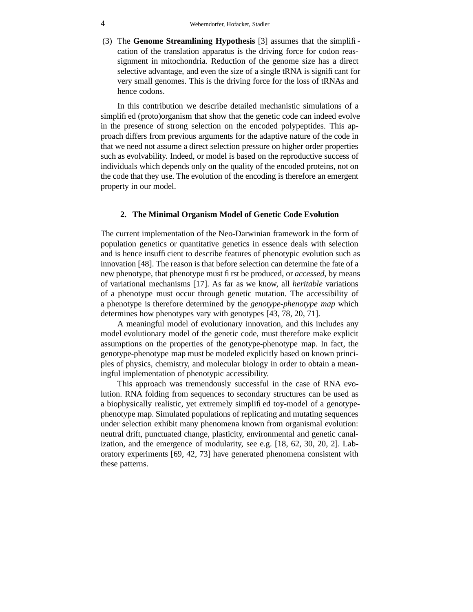(3) The **Genome Streamlining Hypothesis** [3] assumes that the simplification of the translation apparatus is the driving force for codon reassignment in mitochondria. Reduction of the genome size has a direct selective advantage, and even the size of a single tRNA is significant for very small genomes. This is the driving force for the loss of tRNAs and hence codons.

In this contribution we describe detailed mechanistic simulations of a simplified (proto)organism that show that the genetic code can indeed evolve in the presence of strong selection on the encoded polypeptides. This approach differs from previous arguments for the adaptive nature of the code in that we need not assume a direct selection pressure on higher order properties such as evolvability. Indeed, or model is based on the reproductive success of individuals which depends only on the quality of the encoded proteins, not on the code that they use. The evolution of the encoding is therefore an emergent property in our model.

### **2. The Minimal Organism Model of Genetic Code Evolution**

The current implementation of the Neo-Darwinian framework in the form of population genetics or quantitative genetics in essence deals with selection and is hence insufficient to describe features of phenotypic evolution such as innovation [48]. The reason is that before selection can determine the fate of a new phenotype, that phenotype must first be produced, or *accessed*, by means of variational mechanisms [17]. As far as we know, all *heritable* variations of a phenotype must occur through genetic mutation. The accessibility of a phenotype is therefore determined by the *genotype-phenotype map* which determines how phenotypes vary with genotypes [43, 78, 20, 71].

A meaningful model of evolutionary innovation, and this includes any model evolutionary model of the genetic code, must therefore make explicit assumptions on the properties of the genotype-phenotype map. In fact, the genotype-phenotype map must be modeled explicitly based on known principles of physics, chemistry, and molecular biology in order to obtain a meaningful implementation of phenotypic accessibility.

This approach was tremendously successful in the case of RNA evolution. RNA folding from sequences to secondary structures can be used as a biophysically realistic, yet extremely simplified toy-model of a genotypephenotype map. Simulated populations of replicating and mutating sequences under selection exhibit many phenomena known from organismal evolution: neutral drift, punctuated change, plasticity, environmental and genetic canalization, and the emergence of modularity, see e.g. [18, 62, 30, 20, 2]. Laboratory experiments [69, 42, 73] have generated phenomena consistent with these patterns.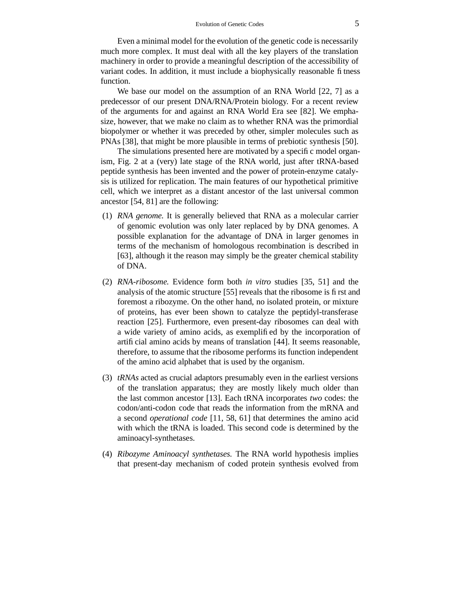Even a minimal model for the evolution of the genetic code is necessarily much more complex. It must deal with all the key players of the translation machinery in order to provide a meaningful description of the accessibility of variant codes. In addition, it must include a biophysically reasonable fitness function.

We base our model on the assumption of an RNA World [22, 7] as a predecessor of our present DNA/RNA/Protein biology. For a recent review of the arguments for and against an RNA World Era see [82]. We emphasize, however, that we make no claim as to whether RNA was the primordial biopolymer or whether it was preceded by other, simpler molecules such as PNAs [38], that might be more plausible in terms of prebiotic synthesis [50].

The simulations presented here are motivated by a specific model organism, Fig. 2 at a (very) late stage of the RNA world, just after tRNA-based peptide synthesis has been invented and the power of protein-enzyme catalysis is utilized for replication. The main features of our hypothetical primitive cell, which we interpret as a distant ancestor of the last universal common ancestor [54, 81] are the following:

- (1) *RNA genome.* It is generally believed that RNA as a molecular carrier of genomic evolution was only later replaced by by DNA genomes. A possible explanation for the advantage of DNA in larger genomes in terms of the mechanism of homologous recombination is described in [63], although it the reason may simply be the greater chemical stability of DNA.
- (2) *RNA-ribosome.* Evidence form both *in vitro* studies [35, 51] and the analysis of the atomic structure [55] reveals that the ribosome is first and foremost a ribozyme. On the other hand, no isolated protein, or mixture of proteins, has ever been shown to catalyze the peptidyl-transferase reaction [25]. Furthermore, even present-day ribosomes can deal with a wide variety of amino acids, as exemplified by the incorporation of artificial amino acids by means of translation [44]. It seems reasonable, therefore, to assume that the ribosome performs its function independent of the amino acid alphabet that is used by the organism.
- (3) *tRNAs* acted as crucial adaptors presumably even in the earliest versions of the translation apparatus; they are mostly likely much older than the last common ancestor [13]. Each tRNA incorporates *two* codes: the codon/anti-codon code that reads the information from the mRNA and a second *operational code* [11, 58, 61] that determines the amino acid with which the tRNA is loaded. This second code is determined by the aminoacyl-synthetases.
- (4) *Ribozyme Aminoacyl synthetases.* The RNA world hypothesis implies that present-day mechanism of coded protein synthesis evolved from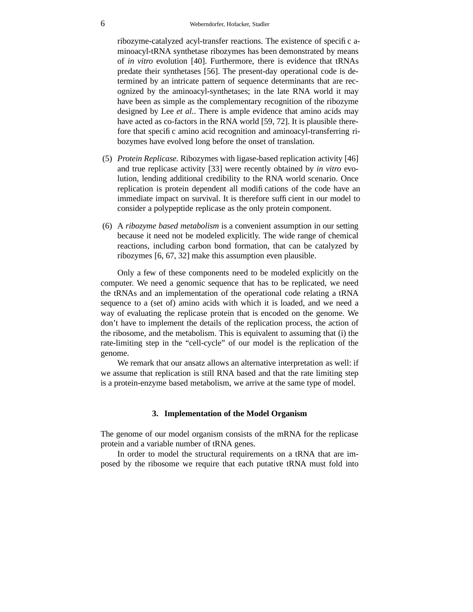ribozyme-catalyzed acyl-transfer reactions. The existence of specific aminoacyl-tRNA synthetase ribozymes has been demonstrated by means of *in vitro* evolution [40]. Furthermore, there is evidence that tRNAs predate their synthetases [56]. The present-day operational code is determined by an intricate pattern of sequence determinants that are recognized by the aminoacyl-synthetases; in the late RNA world it may have been as simple as the complementary recognition of the ribozyme designed by Lee *et al.*. There is ample evidence that amino acids may have acted as co-factors in the RNA world [59, 72]. It is plausible therefore that specific amino acid recognition and aminoacyl-transferring ribozymes have evolved long before the onset of translation.

- (5) *Protein Replicase.* Ribozymes with ligase-based replication activity [46] and true replicase activity [33] were recently obtained by *in vitro* evolution, lending additional credibility to the RNA world scenario. Once replication is protein dependent all modifications of the code have an immediate impact on survival. It is therefore sufficient in our model to consider a polypeptide replicase as the only protein component.
- (6) A *ribozyme based metabolism* is a convenient assumption in our setting because it need not be modeled explicitly. The wide range of chemical reactions, including carbon bond formation, that can be catalyzed by ribozymes [6, 67, 32] make this assumption even plausible.

Only a few of these components need to be modeled explicitly on the computer. We need a genomic sequence that has to be replicated, we need the tRNAs and an implementation of the operational code relating a tRNA sequence to a (set of) amino acids with which it is loaded, and we need a way of evaluating the replicase protein that is encoded on the genome. We don't have to implement the details of the replication process, the action of the ribosome, and the metabolism. This is equivalent to assuming that (i) the rate-limiting step in the "cell-cycle" of our model is the replication of the genome.

We remark that our ansatz allows an alternative interpretation as well: if we assume that replication is still RNA based and that the rate limiting step is a protein-enzyme based metabolism, we arrive at the same type of model.

### **3. Implementation of the Model Organism**

The genome of our model organism consists of the mRNA for the replicase protein and a variable number of tRNA genes.

In order to model the structural requirements on a tRNA that are imposed by the ribosome we require that each putative tRNA must fold into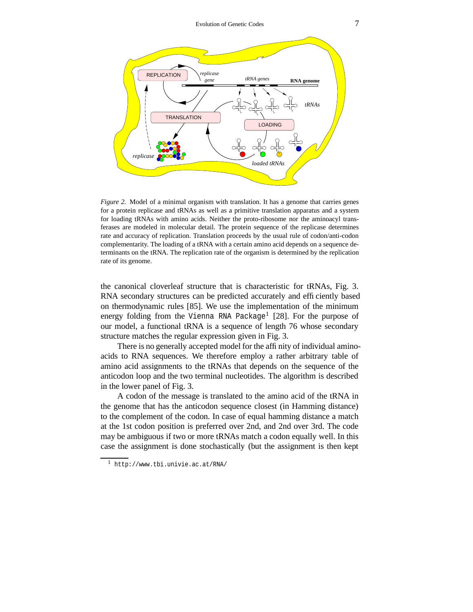

*Figure 2.* Model of a minimal organism with translation. It has a genome that carries genes for a protein replicase and tRNAs as well as a primitive translation apparatus and a system for loading tRNAs with amino acids. Neither the proto-ribosome nor the aminoacyl transferases are modeled in molecular detail. The protein sequence of the replicase determines rate and accuracy of replication. Translation proceeds by the usual rule of codon/anti-codon complementarity. The loading of a tRNA with a certain amino acid depends on a sequence determinants on the tRNA. The replication rate of the organism is determined by the replication rate of its genome.

the canonical cloverleaf structure that is characteristic for tRNAs, Fig. 3. RNA secondary structures can be predicted accurately and efficiently based on thermodynamic rules [85]. We use the implementation of the minimum energy folding from the Vienna RNA Package<sup>1</sup> [28]. For the purpose of our model, a functional tRNA is a sequence of length 76 whose secondary structure matches the regular expression given in Fig. 3.

There is no generally accepted model for the affinity of individual aminoacids to RNA sequences. We therefore employ a rather arbitrary table of amino acid assignments to the tRNAs that depends on the sequence of the anticodon loop and the two terminal nucleotides. The algorithm is described in the lower panel of Fig. 3.

A codon of the message is translated to the amino acid of the tRNA in the genome that has the anticodon sequence closest (in Hamming distance) to the complement of the codon. In case of equal hamming distance a match at the 1st codon position is preferred over 2nd, and 2nd over 3rd. The code may be ambiguous if two or more tRNAs match a codon equally well. In this case the assignment is done stochastically (but the assignment is then kept

<sup>1</sup> http://www.tbi.univie.ac.at/RNA/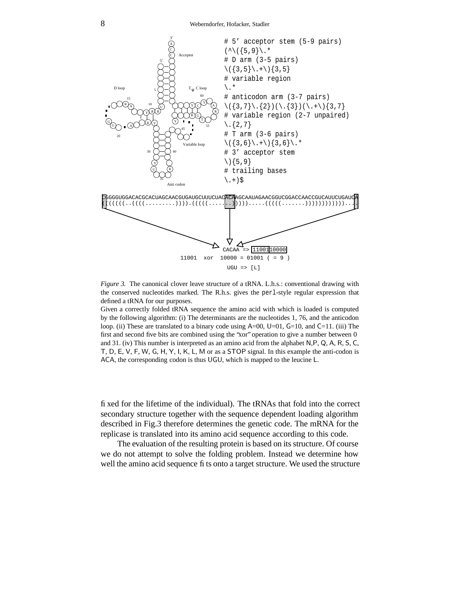

*Figure 3.* The canonical clover leave structure of a tRNA. L.h.s.: conventional drawing with the conserved nucleotides marked. The R.h.s. gives the perl-style regular expression that defined a tRNA for our purposes.

Given a correctly folded tRNA sequence the amino acid with which is loaded is computed by the following algorithm: (i) The determinants are the nucleotides 1, 76, and the anticodon loop. (ii) These are translated to a binary code using  $A=00$ ,  $U=01$ ,  $G=10$ , and  $C=11$ . (iii) The first and second five bits are combined using the "xor" operation to give a number between 0 and 31. (iv) This number is interpreted as an amino acid from the alphabet N,P, Q, A, R, S, C, T, D, E, V, F, W, G, H, Y, I, K, L, M or as a STOP signal. In this example the anti-codon is ACA, the corresponding codon is thus UGU, which is mapped to the leucine L.

fixed for the lifetime of the individual). The tRNAs that fold into the correct secondary structure together with the sequence dependent loading algorithm described in Fig.3 therefore determines the genetic code. The mRNA for the replicase is translated into its amino acid sequence according to this code.

The evaluation of the resulting protein is based on its structure. Of course we do not attempt to solve the folding problem. Instead we determine how well the amino acid sequence fits onto a target structure. We used the structure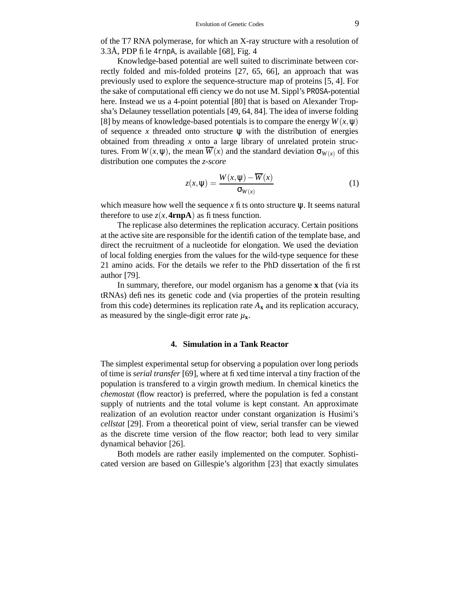of the T7 RNA polymerase, for which an X-ray structure with a resolution of 3.3Å, PDP file 4rnpA, is available [68], Fig. 4

Knowledge-based potential are well suited to discriminate between correctly folded and mis-folded proteins [27, 65, 66], an approach that was previously used to explore the sequence-structure map of proteins [5, 4]. For the sake of computational efficiency we do not use M. Sippl's PROSA-potential here. Instead we us a 4-point potential [80] that is based on Alexander Tropsha's Delauney tessellation potentials [49, 64, 84]. The idea of inverse folding [8] by means of knowledge-based potentials is to compare the energy  $W(x, \psi)$ of sequence *x* threaded onto structure  $\psi$  with the distribution of energies obtained from threading *x* onto a large library of unrelated protein structures. From  $W(x, \psi)$ , the mean  $\overline{W}(x)$  and the standard deviation  $\sigma_{W(x)}$  of this distribution one computes the *z-score*

$$
z(x,\Psi) = \frac{W(x,\Psi) - \overline{W}(x)}{\sigma_{W(x)}}
$$
(1)

which measure how well the sequence  $x$  fits onto structure  $\psi$ . It seems natural therefore to use  $z(x, 4rnpA)$  as fitness function.

The replicase also determines the replication accuracy. Certain positions at the active site are responsible for the identification of the template base, and direct the recruitment of a nucleotide for elongation. We used the deviation of local folding energies from the values for the wild-type sequence for these 21 amino acids. For the details we refer to the PhD dissertation of the first author [79].

In summary, therefore, our model organism has a genome **x** that (via its tRNAs) defines its genetic code and (via properties of the protein resulting from this code) determines its replication rate  $A_x$  and its replication accuracy, as measured by the single-digit error rate  $\mu_{\mathbf{x}}$ .

# **4. Simulation in a Tank Reactor**

The simplest experimental setup for observing a population over long periods of time is *serial transfer* [69], where at fixed time interval a tiny fraction of the population is transfered to a virgin growth medium. In chemical kinetics the *chemostat* (flow reactor) is preferred, where the population is fed a constant supply of nutrients and the total volume is kept constant. An approximate realization of an evolution reactor under constant organization is Husimi's *cellstat* [29]. From a theoretical point of view, serial transfer can be viewed as the discrete time version of the flow reactor; both lead to very similar dynamical behavior [26].

Both models are rather easily implemented on the computer. Sophisticated version are based on Gillespie's algorithm [23] that exactly simulates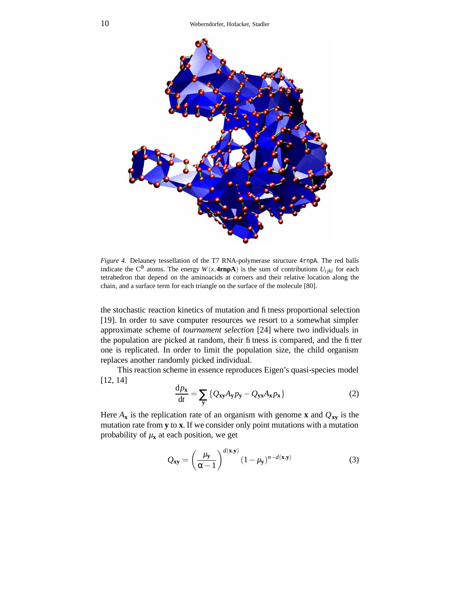

*Figure 4.* Delauney tessellation of the T7 RNA-polymerase structure 4rnpA. The red balls indicate the C<sup> $\alpha$ </sup> atoms. The energy  $W(x, 4\text{rnpA})$  is the sum of contributions  $U_{ijkl}$  for each tetrahedron that depend on the aminoacids at corners and their relative location along the chain, and a surface term for each triangle on the surface of the molecule [80].

the stochastic reaction kinetics of mutation and fitness proportional selection [19]. In order to save computer resources we resort to a somewhat simpler approximate scheme of *tournament selection* [24] where two individuals in the population are picked at random, their fitness is compared, and the fitter one is replicated. In order to limit the population size, the child organism replaces another randomly picked individual.

This reaction scheme in essence reproduces Eigen's quasi-species model [12, 14]

$$
\frac{dp_x}{dt} = \sum_{y} \{Q_{xy}A_y p_y - Q_{yx}A_x p_x\}
$$
 (2)

Here  $A_x$  is the replication rate of an organism with genome **x** and  $Q_{xy}$  is the mutation rate from **y** to **x**. If we consider only point mutations with a mutation probability of  $\mu$ **x** at each position, we get

$$
Q_{xy} = \left(\frac{\mu_y}{\alpha - 1}\right)^{d(x, y)} (1 - \mu_y)^{n - d(x, y)}
$$
(3)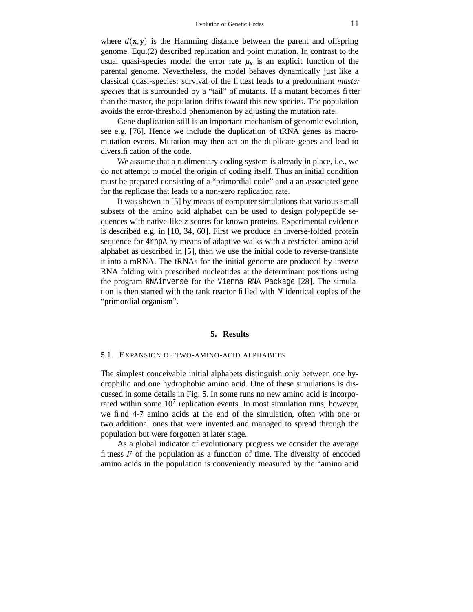where  $d(\mathbf{x}, \mathbf{y})$  is the Hamming distance between the parent and offspring genome. Equ.(2) described replication and point mutation. In contrast to the usual quasi-species model the error rate  $\mu_{\mathbf{x}}$  is an explicit function of the parental genome. Nevertheless, the model behaves dynamically just like a classical quasi-species: survival of the fittest leads to a predominant *master species* that is surrounded by a "tail" of mutants. If a mutant becomes fitter than the master, the population drifts toward this new species. The population avoids the error-threshold phenomenon by adjusting the mutation rate.

Gene duplication still is an important mechanism of genomic evolution, see e.g. [76]. Hence we include the duplication of tRNA genes as macromutation events. Mutation may then act on the duplicate genes and lead to diversification of the code.

We assume that a rudimentary coding system is already in place, i.e., we do not attempt to model the origin of coding itself. Thus an initial condition must be prepared consisting of a "primordial code" and a an associated gene for the replicase that leads to a non-zero replication rate.

It was shown in [5] by means of computer simulations that various small subsets of the amino acid alphabet can be used to design polypeptide sequences with native-like *z*-scores for known proteins. Experimental evidence is described e.g. in [10, 34, 60]. First we produce an inverse-folded protein sequence for 4rnpA by means of adaptive walks with a restricted amino acid alphabet as described in [5], then we use the initial code to reverse-translate it into a mRNA. The tRNAs for the initial genome are produced by inverse RNA folding with prescribed nucleotides at the determinant positions using the program RNAinverse for the Vienna RNA Package [28]. The simulation is then started with the tank reactor filled with *N* identical copies of the "primordial organism".

#### **5. Results**

#### 5.1. EXPANSION OF TWO-AMINO-ACID ALPHABETS

The simplest conceivable initial alphabets distinguish only between one hydrophilic and one hydrophobic amino acid. One of these simulations is discussed in some details in Fig. 5. In some runs no new amino acid is incorporated within some  $10<sup>7</sup>$  replication events. In most simulation runs, however, we find 4-7 amino acids at the end of the simulation, often with one or two additional ones that were invented and managed to spread through the population but were forgotten at later stage.

As a global indicator of evolutionary progress we consider the average fitness  $\overline{F}$  of the population as a function of time. The diversity of encoded amino acids in the population is conveniently measured by the "amino acid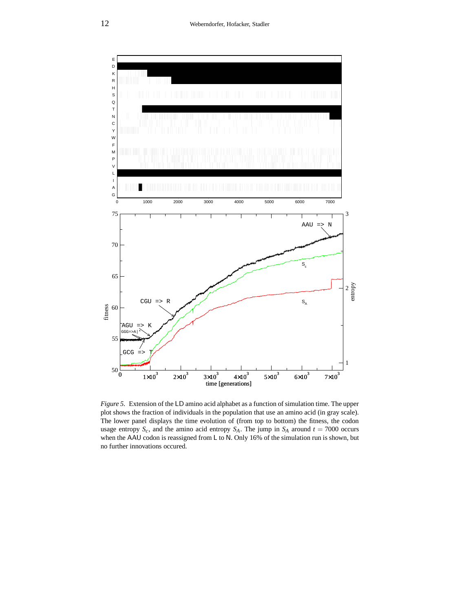

*Figure 5.* Extension of the LD amino acid alphabet as a function of simulation time. The upper plot shows the fraction of individuals in the population that use an amino acid (in gray scale). The lower panel displays the time evolution of (from top to bottom) the fitness, the codon usage entropy  $S_c$ , and the amino acid entropy  $S_A$ . The jump in  $S_A$  around  $t = 7000$  occurs when the AAU codon is reassigned from L to N. Only 16% of the simulation run is shown, but no further innovations occured.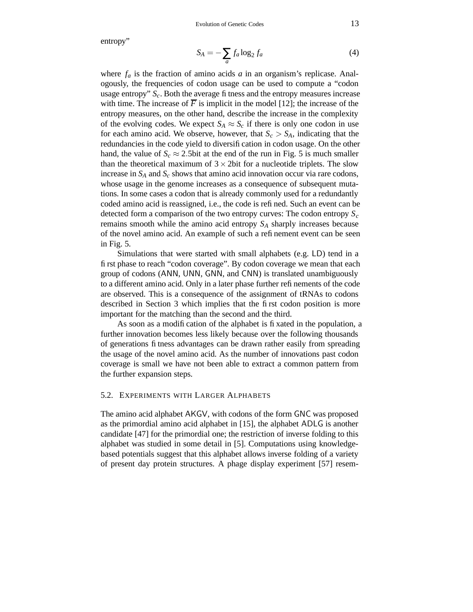entropy"

$$
S_A = -\sum_a f_a \log_2 f_a \tag{4}
$$

where  $f_a$  is the fraction of amino acids  $a$  in an organism's replicase. Analogously, the frequencies of codon usage can be used to compute a "codon usage entropy"  $S_c$ . Both the average fitness and the entropy measures increase with time. The increase of  $\overline{F}$  is implicit in the model [12]; the increase of the entropy measures, on the other hand, describe the increase in the complexity of the evolving codes. We expect  $S_A \approx S_c$  if there is only one codon in use for each amino acid. We observe, however, that  $S_c > S_A$ , indicating that the redundancies in the code yield to diversification in codon usage. On the other hand, the value of  $S_c \approx 2.5$ bit at the end of the run in Fig. 5 is much smaller than the theoretical maximum of  $3 \times 2$ bit for a nucleotide triplets. The slow increase in *S<sup>A</sup>* and *S<sup>c</sup>* shows that amino acid innovation occur via rare codons, whose usage in the genome increases as a consequence of subsequent mutations. In some cases a codon that is already commonly used for a redundantly coded amino acid is reassigned, i.e., the code is refined. Such an event can be detected form a comparison of the two entropy curves: The codon entropy *S<sup>c</sup>* remains smooth while the amino acid entropy *S<sup>A</sup>* sharply increases because of the novel amino acid. An example of such a refinement event can be seen in Fig. 5.

Simulations that were started with small alphabets (e.g. LD) tend in a first phase to reach "codon coverage". By codon coverage we mean that each group of codons (ANN, UNN, GNN, and CNN) is translated unambiguously to a different amino acid. Only in a later phase further refinements of the code are observed. This is a consequence of the assignment of tRNAs to codons described in Section 3 which implies that the first codon position is more important for the matching than the second and the third.

As soon as a modification of the alphabet is fixated in the population, a further innovation becomes less likely because over the following thousands of generations fitness advantages can be drawn rather easily from spreading the usage of the novel amino acid. As the number of innovations past codon coverage is small we have not been able to extract a common pattern from the further expansion steps.

### 5.2. EXPERIMENTS WITH LARGER ALPHABETS

The amino acid alphabet AKGV, with codons of the form GNC was proposed as the primordial amino acid alphabet in [15], the alphabet ADLG is another candidate [47] for the primordial one; the restriction of inverse folding to this alphabet was studied in some detail in [5]. Computations using knowledgebased potentials suggest that this alphabet allows inverse folding of a variety of present day protein structures. A phage display experiment [57] resem-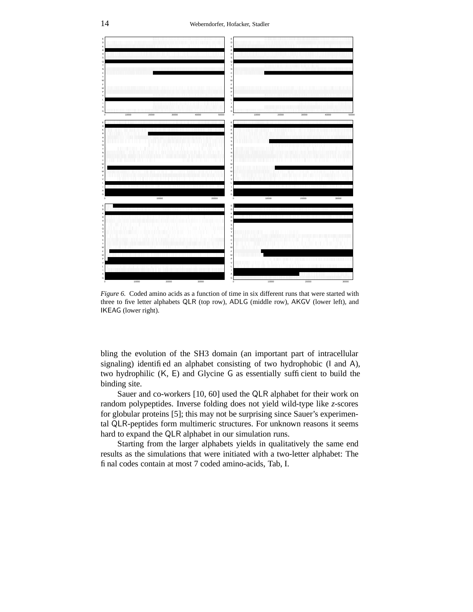

*Figure 6.* Coded amino acids as a function of time in six different runs that were started with three to five letter alphabets QLR (top row), ADLG (middle row), AKGV (lower left), and IKEAG (lower right).

bling the evolution of the SH3 domain (an important part of intracellular signaling) identified an alphabet consisting of two hydrophobic (I and A), two hydrophilic (K, E) and Glycine G as essentially sufficient to build the binding site.

Sauer and co-workers [10, 60] used the QLR alphabet for their work on random polypeptides. Inverse folding does not yield wild-type like *z*-scores for globular proteins [5]; this may not be surprising since Sauer's experimental QLR-peptides form multimeric structures. For unknown reasons it seems hard to expand the QLR alphabet in our simulation runs.

Starting from the larger alphabets yields in qualitatively the same end results as the simulations that were initiated with a two-letter alphabet: The final codes contain at most 7 coded amino-acids, Tab, I.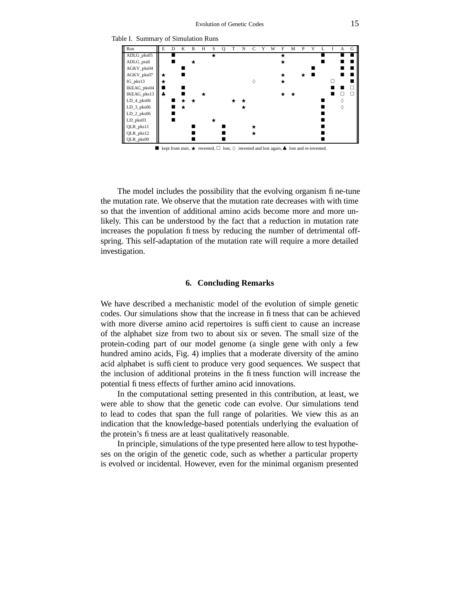

The model includes the possibility that the evolving organism fine-tune the mutation rate. We observe that the mutation rate decreases with with time so that the invention of additional amino acids become more and more unlikely. This can be understood by the fact that a reduction in mutation rate increases the population fitness by reducing the number of detrimental offspring. This self-adaptation of the mutation rate will require a more detailed investigation.

#### **6. Concluding Remarks**

We have described a mechanistic model of the evolution of simple genetic codes. Our simulations show that the increase in fitness that can be achieved with more diverse amino acid repertoires is sufficient to cause an increase of the alphabet size from two to about six or seven. The small size of the protein-coding part of our model genome (a single gene with only a few hundred amino acids, Fig. 4) implies that a moderate diversity of the amino acid alphabet is sufficient to produce very good sequences. We suspect that the inclusion of additional proteins in the fitness function will increase the potential fitness effects of further amino acid innovations.

In the computational setting presented in this contribution, at least, we were able to show that the genetic code can evolve. Our simulations tend to lead to codes that span the full range of polarities. We view this as an indication that the knowledge-based potentials underlying the evaluation of the protein's fitness are at least qualitatively reasonable.

In principle, simulations of the type presented here allow to test hypotheses on the origin of the genetic code, such as whether a particular property is evolved or incidental. However, even for the minimal organism presented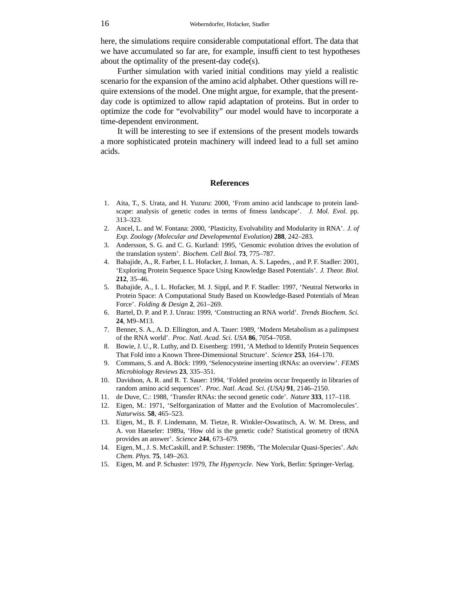here, the simulations require considerable computational effort. The data that we have accumulated so far are, for example, insufficient to test hypotheses about the optimality of the present-day code(s).

Further simulation with varied initial conditions may yield a realistic scenario for the expansion of the amino acid alphabet. Other questions will require extensions of the model. One might argue, for example, that the presentday code is optimized to allow rapid adaptation of proteins. But in order to optimize the code for "evolvability" our model would have to incorporate a time-dependent environment.

It will be interesting to see if extensions of the present models towards a more sophisticated protein machinery will indeed lead to a full set amino acids.

#### **References**

- 1. Aita, T., S. Urata, and H. Yuzuru: 2000, 'From amino acid landscape to protein landscape: analysis of genetic codes in terms of fitness landscape'. *J. Mol. Evol.* pp. 313–323.
- 2. Ancel, L. and W. Fontana: 2000, 'Plasticity, Evolvability and Modularity in RNA'. *J. of Exp. Zoology (Molecular and Developmental Evolution)* **288**, 242–283.
- 3. Andersson, S. G. and C. G. Kurland: 1995, 'Genomic evolution drives the evolution of the translation system'. *Biochem. Cell Biol.* **73**, 775–787.
- 4. Babajide, A., R. Farber, I. L. Hofacker, J. Inman, A. S. Lapedes, , and P. F. Stadler: 2001, 'Exploring Protein Sequence Space Using Knowledge Based Potentials'. *J. Theor. Biol.* **212**, 35–46.
- 5. Babajide, A., I. L. Hofacker, M. J. Sippl, and P. F. Stadler: 1997, 'Neutral Networks in Protein Space: A Computational Study Based on Knowledge-Based Potentials of Mean Force'. *Folding & Design* **2**, 261–269.
- 6. Bartel, D. P. and P. J. Unrau: 1999, 'Constructing an RNA world'. *Trends Biochem. Sci.* **24**, M9–M13.
- 7. Benner, S. A., A. D. Ellington, and A. Tauer: 1989, 'Modern Metabolism as a palimpsest of the RNA world'. *Proc. Natl. Acad. Sci. USA* **86**, 7054–7058.
- 8. Bowie, J. U., R. Luthy, and D. Eisenberg: 1991, 'A Method to Identify Protein Sequences That Fold into a Known Three-Dimensional Structure'. *Science* **253**, 164–170.
- 9. Commans, S. and A. Böck: 1999, 'Selenocysteine inserting tRNAs: an overview'. *FEMS Microbiology Reviews* **23**, 335–351.
- 10. Davidson, A. R. and R. T. Sauer: 1994, 'Folded proteins occur frequently in libraries of random amino acid sequences'. *Proc. Natl. Acad. Sci. (USA)* **91**, 2146–2150.
- 11. de Duve, C.: 1988, 'Transfer RNAs: the second genetic code'. *Nature* **333**, 117–118.
- 12. Eigen, M.: 1971, 'Selforganization of Matter and the Evolution of Macromolecules'. *Naturwiss.* **58**, 465–523.
- 13. Eigen, M., B. F. Lindemann, M. Tietze, R. Winkler-Oswatitsch, A. W. M. Dress, and A. von Haeseler: 1989a, 'How old is the genetic code? Statistical geometry of tRNA provides an answer'. *Science* **244**, 673–679.
- 14. Eigen, M., J. S. McCaskill, and P. Schuster: 1989b, 'The Molecular Quasi-Species'. *Adv. Chem. Phys.* **75**, 149–263.
- 15. Eigen, M. and P. Schuster: 1979, *The Hypercycle*. New York, Berlin: Springer-Verlag.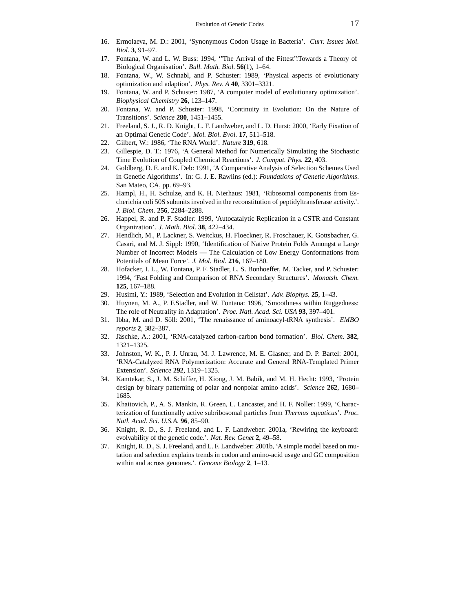- 16. Ermolaeva, M. D.: 2001, 'Synonymous Codon Usage in Bacteria'. *Curr. Issues Mol. Biol.* **3**, 91–97.
- 17. Fontana, W. and L. W. Buss: 1994, '"The Arrival of the Fittest":Towards a Theory of Biological Organisation'. *Bull. Math. Biol.* **56**(1), 1–64.
- 18. Fontana, W., W. Schnabl, and P. Schuster: 1989, 'Physical aspects of evolutionary optimization and adaption'. *Phys. Rev. A* **40**, 3301–3321.
- 19. Fontana, W. and P. Schuster: 1987, 'A computer model of evolutionary optimization'. *Biophysical Chemistry* **26**, 123–147.
- 20. Fontana, W. and P. Schuster: 1998, 'Continuity in Evolution: On the Nature of Transitions'. *Science* **280**, 1451–1455.
- 21. Freeland, S. J., R. D. Knight, L. F. Landweber, and L. D. Hurst: 2000, 'Early Fixation of an Optimal Genetic Code'. *Mol. Biol. Evol.* **17**, 511–518.
- 22. Gilbert, W.: 1986, 'The RNA World'. *Nature* **319**, 618.
- 23. Gillespie, D. T.: 1976, 'A General Method for Numerically Simulating the Stochastic Time Evolution of Coupled Chemical Reactions'. *J. Comput. Phys.* **22**, 403.
- 24. Goldberg, D. E. and K. Deb: 1991, 'A Comparative Analysis of Selection Schemes Used in Genetic Algorithms'. In: G. J. E. Rawlins (ed.): *Foundations of Genetic Algorithms*. San Mateo, CA, pp. 69–93.
- 25. Hampl, H., H. Schulze, and K. H. Nierhaus: 1981, 'Ribosomal components from Escherichia coli 50S subunits involved in the reconstitution of peptidyltransferase activity.'. *J. Biol. Chem.* **256**, 2284–2288.
- 26. Happel, R. and P. F. Stadler: 1999, 'Autocatalytic Replication in a CSTR and Constant Organization'. *J. Math. Biol.* **38**, 422–434.
- 27. Hendlich, M., P. Lackner, S. Weitckus, H. Floeckner, R. Froschauer, K. Gottsbacher, G. Casari, and M. J. Sippl: 1990, 'Identification of Native Protein Folds Amongst a Large Number of Incorrect Models — The Calculation of Low Energy Conformations from Potentials of Mean Force'. *J. Mol. Biol.* **216**, 167–180.
- 28. Hofacker, I. L., W. Fontana, P. F. Stadler, L. S. Bonhoeffer, M. Tacker, and P. Schuster: 1994, 'Fast Folding and Comparison of RNA Secondary Structures'. *Monatsh. Chem.* **125**, 167–188.
- 29. Husimi, Y.: 1989, 'Selection and Evolution in Cellstat'. *Adv. Biophys.* **25**, 1–43.
- 30. Huynen, M. A., P. F.Stadler, and W. Fontana: 1996, 'Smoothness within Ruggedness: The role of Neutrality in Adaptation'. *Proc. Natl. Acad. Sci. USA* **93**, 397–401.
- 31. Ibba, M. and D. Söll: 2001, 'The renaissance of aminoacyl-tRNA synthesis'. *EMBO reports* **2**, 382–387.
- 32. Jäschke, A.: 2001, 'RNA-catalyzed carbon-carbon bond formation'. *Biol. Chem.* **382**, 1321–1325.
- 33. Johnston, W. K., P. J. Unrau, M. J. Lawrence, M. E. Glasner, and D. P. Bartel: 2001, 'RNA-Catalyzed RNA Polymerization: Accurate and General RNA-Templated Primer Extension'. *Science* **292**, 1319–1325.
- 34. Kamtekar, S., J. M. Schiffer, H. Xiong, J. M. Babik, and M. H. Hecht: 1993, 'Protein design by binary patterning of polar and nonpolar amino acids'. *Science* **262**, 1680– 1685.
- 35. Khaitovich, P., A. S. Mankin, R. Green, L. Lancaster, and H. F. Noller: 1999, 'Characterization of functionally active subribosomal particles from *Thermus aquaticus*'. *Proc. Natl. Acad. Sci. U.S.A.* **96**, 85–90.
- 36. Knight, R. D., S. J. Freeland, and L. F. Landweber: 2001a, 'Rewiring the keyboard: evolvability of the genetic code.'. *Nat. Rev. Genet* **2**, 49–58.
- 37. Knight, R. D., S.J. Freeland, and L. F. Landweber: 2001b, 'A simple model based on mutation and selection explains trends in codon and amino-acid usage and GC composition within and across genomes.'. *Genome Biology* **2**, 1–13.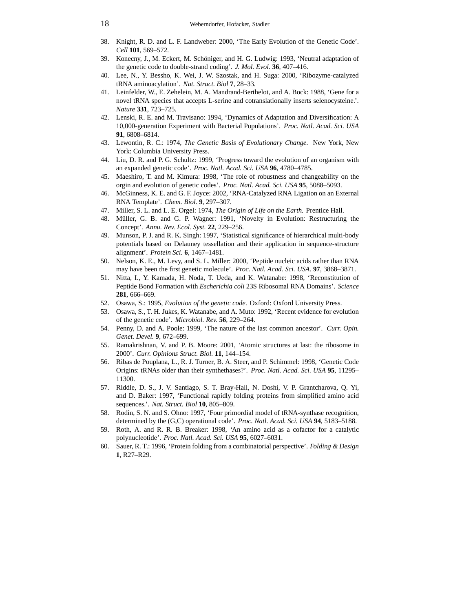- 38. Knight, R. D. and L. F. Landweber: 2000, 'The Early Evolution of the Genetic Code'. *Cell* **101**, 569–572.
- 39. Konecny, J., M. Eckert, M. Schöniger, and H. G. Ludwig: 1993, 'Neutral adaptation of the genetic code to double-strand coding'. *J. Mol. Evol.* **36**, 407–416.
- 40. Lee, N., Y. Bessho, K. Wei, J. W. Szostak, and H. Suga: 2000, 'Ribozyme-catalyzed tRNA aminoacylation'. *Nat. Struct. Biol* **7**, 28–33.
- 41. Leinfelder, W., E. Zehelein, M. A. Mandrand-Berthelot, and A. Bock: 1988, 'Gene for a novel tRNA species that accepts L-serine and cotranslationally inserts selenocysteine.'. *Nature* **331**, 723–725.
- 42. Lenski, R. E. and M. Travisano: 1994, 'Dynamics of Adaptation and Diversification: A 10,000-generation Experiment with Bacterial Populations'. *Proc. Natl. Acad. Sci. USA* **91**, 6808–6814.
- 43. Lewontin, R. C.: 1974, *The Genetic Basis of Evolutionary Change*. New York, New York: Columbia University Press.
- 44. Liu, D. R. and P. G. Schultz: 1999, 'Progress toward the evolution of an organism with an expanded genetic code'. *Proc. Natl. Acad. Sci. USA* **96**, 4780–4785.
- 45. Maeshiro, T. and M. Kimura: 1998, 'The role of robustness and changeability on the orgin and evolution of genetic codes'. *Proc. Natl. Acad. Sci. USA* **95**, 5088–5093.
- 46. McGinness, K. E. and G. F. Joyce: 2002, 'RNA-Catalyzed RNA Ligation on an External RNA Template'. *Chem. Biol.* **9**, 297–307.
- 47. Miller, S. L. and L. E. Orgel: 1974, *The Origin of Life on the Earth*. Prentice Hall.
- 48. Müller, G. B. and G. P. Wagner: 1991, 'Novelty in Evolution: Restructuring the Concept'. *Annu. Rev. Ecol. Syst.* **22**, 229–256.
- 49. Munson, P. J. and R. K. Singh: 1997, 'Statistical significance of hierarchical multi-body potentials based on Delauney tessellation and their application in sequence-structure alignment'. *Protein Sci.* **6**, 1467–1481.
- 50. Nelson, K. E., M. Levy, and S. L. Miller: 2000, 'Peptide nucleic acids rather than RNA may have been the first genetic molecule'. *Proc. Natl. Acad. Sci. USA.* **97**, 3868–3871.
- 51. Nitta, I., Y. Kamada, H. Noda, T. Ueda, and K. Watanabe: 1998, 'Reconstitution of Peptide Bond Formation with *Escherichia coli* 23S Ribosomal RNA Domains'. *Science* **281**, 666–669.
- 52. Osawa, S.: 1995, *Evolution of the genetic code*. Oxford: Oxford University Press.
- 53. Osawa, S., T. H. Jukes, K. Watanabe, and A. Muto: 1992, 'Recent evidence for evolution of the genetic code'. *Microbiol. Rev.* **56**, 229–264.
- 54. Penny, D. and A. Poole: 1999, 'The nature of the last common ancestor'. *Curr. Opin. Genet. Devel.* **9**, 672–699.
- 55. Ramakrishnan, V. and P. B. Moore: 2001, 'Atomic structures at last: the ribosome in 2000'. *Curr. Opinions Struct. Biol.* **11**, 144–154.
- 56. Ribas de Pouplana, L., R. J. Turner, B. A. Steer, and P. Schimmel: 1998, 'Genetic Code Origins: tRNAs older than their synthethases?'. *Proc. Natl. Acad. Sci. USA* **95**, 11295– 11300.
- 57. Riddle, D. S., J. V. Santiago, S. T. Bray-Hall, N. Doshi, V. P. Grantcharova, Q. Yi, and D. Baker: 1997, 'Functional rapidly folding proteins from simplified amino acid sequences.'. *Nat. Struct. Biol* **10**, 805–809.
- 58. Rodin, S. N. and S. Ohno: 1997, 'Four primordial model of tRNA-synthase recognition, determined by the (G,C) operational code'. *Proc. Natl. Acad. Sci. USA* **94**, 5183–5188.
- 59. Roth, A. and R. R. B. Breaker: 1998, 'An amino acid as a cofactor for a catalytic polynucleotide'. *Proc. Natl. Acad. Sci. USA* **95**, 6027–6031.
- 60. Sauer, R. T.: 1996, 'Protein folding from a combinatorial perspective'. *Folding & Design* **1**, R27–R29.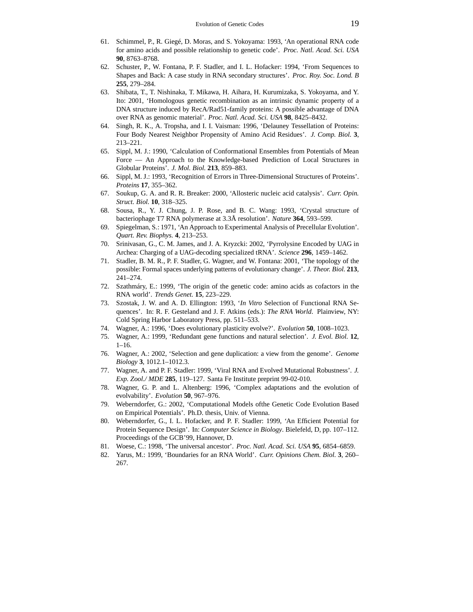- 61. Schimmel, P., R. Giegé, D. Moras, and S. Yokoyama: 1993, 'An operational RNA code for amino acids and possible relationship to genetic code'. *Proc. Natl. Acad. Sci. USA* **90**, 8763–8768.
- 62. Schuster, P., W. Fontana, P. F. Stadler, and I. L. Hofacker: 1994, 'From Sequences to Shapes and Back: A case study in RNA secondary structures'. *Proc. Roy. Soc. Lond. B* **255**, 279–284.
- 63. Shibata, T., T. Nishinaka, T. Mikawa, H. Aihara, H. Kurumizaka, S. Yokoyama, and Y. Ito: 2001, 'Homologous genetic recombination as an intrinsic dynamic property of a DNA structure induced by RecA/Rad51-family proteins: A possible advantage of DNA over RNA as genomic material'. *Proc. Natl. Acad. Sci. USA* **98**, 8425–8432.
- 64. Singh, R. K., A. Tropsha, and I. I. Vaisman: 1996, 'Delauney Tessellation of Proteins: Four Body Nearest Neighbor Propensity of Amino Acid Residues'. *J. Comp. Biol.* **3**, 213–221.
- 65. Sippl, M. J.: 1990, 'Calculation of Conformational Ensembles from Potentials of Mean Force — An Approach to the Knowledge-based Prediction of Local Structures in Globular Proteins'. *J. Mol. Biol.* **213**, 859–883.
- 66. Sippl, M. J.: 1993, 'Recognition of Errors in Three-Dimensional Structures of Proteins'. *Proteins* **17**, 355–362.
- 67. Soukup, G. A. and R. R. Breaker: 2000, 'Allosteric nucleic acid catalysis'. *Curr. Opin. Struct. Biol.* **10**, 318–325.
- 68. Sousa, R., Y. J. Chung, J. P. Rose, and B. C. Wang: 1993, 'Crystal structure of bacteriophage T7 RNA polymerase at 3.3Å resolution'. *Nature* **364**, 593–599.
- 69. Spiegelman, S.: 1971, 'An Approach to Experimental Analysis of Precellular Evolution'. *Quart. Rev. Biophys.* **4**, 213–253.
- 70. Srinivasan, G., C. M. James, and J. A. Kryzcki: 2002, 'Pyrrolysine Encoded by UAG in Archea: Charging of a UAG-decoding specialized tRNA'. *Science* **296**, 1459–1462.
- 71. Stadler, B. M. R., P. F. Stadler, G. Wagner, and W. Fontana: 2001, 'The topology of the possible: Formal spaces underlying patterns of evolutionary change'. *J. Theor. Biol.* **213**, 241–274.
- 72. Szathmáry, E.: 1999, 'The origin of the genetic code: amino acids as cofactors in the RNA world'. *Trends Genet.* **15**, 223–229.
- 73. Szostak, J. W. and A. D. Ellington: 1993, '*In Vitro* Selection of Functional RNA Sequences'. In: R. F. Gesteland and J. F. Atkins (eds.): *The RNA World*. Plainview, NY: Cold Spring Harbor Laboratory Press, pp. 511–533.
- 74. Wagner, A.: 1996, 'Does evolutionary plasticity evolve?'. *Evolution* **50**, 1008–1023.
- 75. Wagner, A.: 1999, 'Redundant gene functions and natural selection'. *J. Evol. Biol.* **12**, 1–16.
- 76. Wagner, A.: 2002, 'Selection and gene duplication: a view from the genome'. *Genome Biology* **3**, 1012.1–1012.3.
- 77. Wagner, A. and P. F. Stadler: 1999, 'Viral RNA and Evolved Mutational Robustness'. *J. Exp. Zool./ MDE* **285**, 119–127. Santa Fe Institute preprint 99-02-010.
- 78. Wagner, G. P. and L. Altenberg: 1996, 'Complex adaptations and the evolution of evolvability'. *Evolution* **50**, 967–976.
- 79. Weberndorfer, G.: 2002, 'Computational Models ofthe Genetic Code Evolution Based on Empirical Potentials'. Ph.D. thesis, Univ. of Vienna.
- 80. Weberndorfer, G., I. L. Hofacker, and P. F. Stadler: 1999, 'An Efficient Potential for Protein Sequence Design'. In: *Computer Science in Biology*. Bielefeld, D, pp. 107–112. Proceedings of the GCB'99, Hannover, D.
- 81. Woese, C.: 1998, 'The universal ancestor'. *Proc. Natl. Acad. Sci. USA* **95**, 6854–6859.
- 82. Yarus, M.: 1999, 'Boundaries for an RNA World'. *Curr. Opinions Chem. Biol.* **3**, 260– 267.